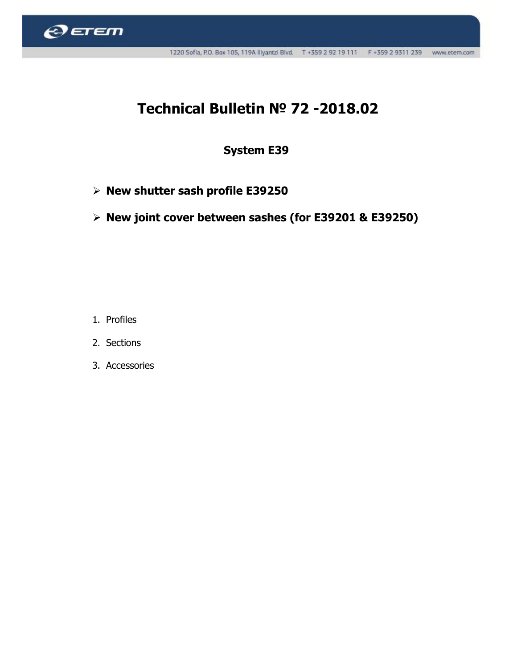

## Technical Bulletin № 72 -2018.02

## System E39

- $\triangleright$  New shutter sash profile E39250
- $\triangleright$  New joint cover between sashes (for E39201 & E39250)

- 1. Profiles
- 2. Sections
- 3. Accessories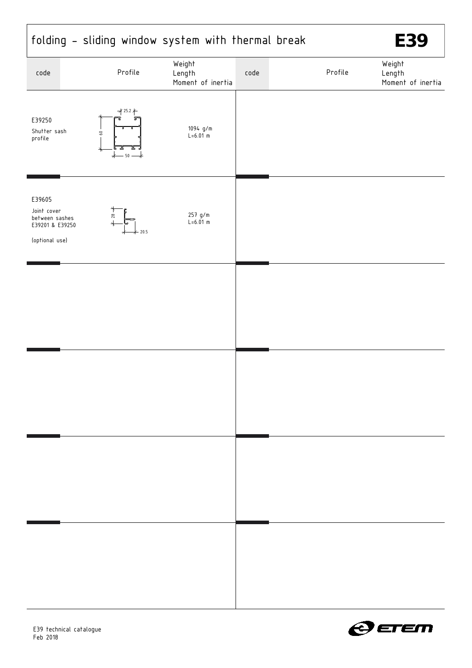|                                                                              |                                          | folding - sliding window system with thermal break |      |         | E39                                   |
|------------------------------------------------------------------------------|------------------------------------------|----------------------------------------------------|------|---------|---------------------------------------|
| code                                                                         | Profile                                  | Weight<br>Length<br>Moment of inertia              | code | Profile | Weight<br>Length<br>Moment of inertia |
| E39250<br>Shutter sash<br>profile                                            | $725.2 +$<br>$60 -$<br>$^\star$<br>$-50$ | 1094 g/m<br>$L = 6.01 \text{ m}$                   |      |         |                                       |
| E39605<br>Joint cover<br>between sashes<br>E39201 & E39250<br>(optional use) | $28 -$                                   | 257 g/m<br>$L = 6.01 m$<br>20.5                    |      |         |                                       |
|                                                                              |                                          |                                                    |      |         |                                       |
|                                                                              |                                          |                                                    |      |         |                                       |
|                                                                              |                                          |                                                    |      |         |                                       |
|                                                                              |                                          |                                                    |      |         |                                       |



 $\overline{1}$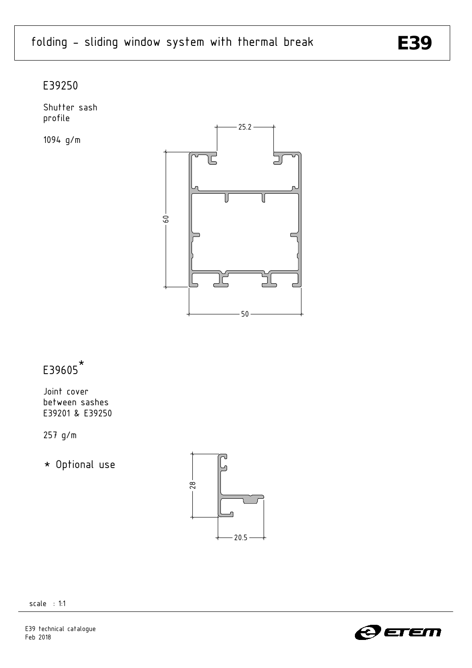### E39250

Shutter sash profile

1094 g/m



#### E39605 \*

Joint cover between sashes E39201 & E39250

257 g/m

\* Optional use





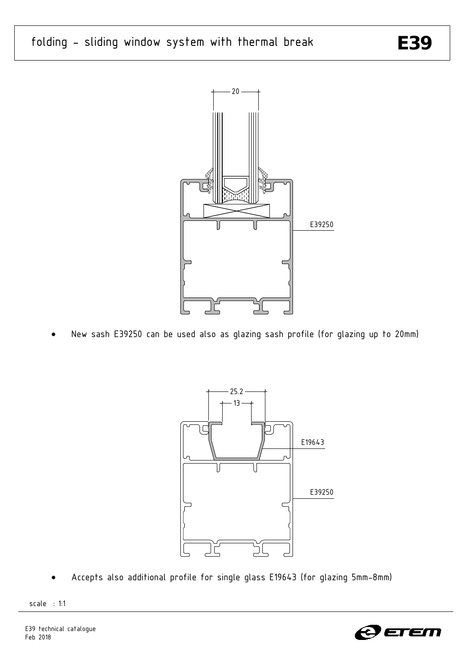# folding - sliding window system with thermal break **E39**



New sash E39250 can be used also as glazing sash profile (for glazing up to 20mm)



x Accepts also additional profile for single glass E19643 (for glazing 5mm-8mm)



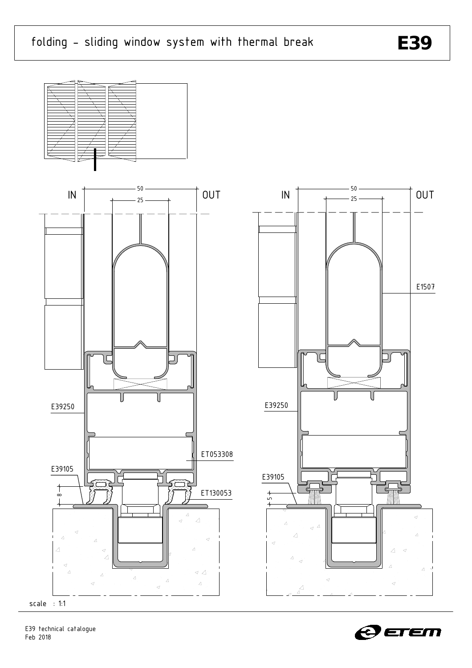



scale : 1:1



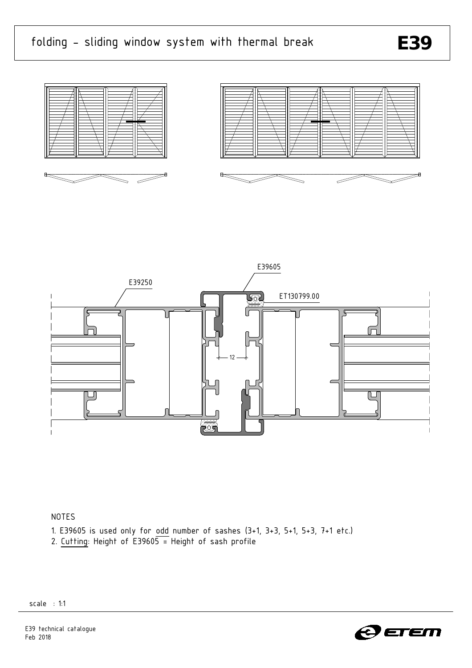







### NOTES

- 1. E39605 is used only for odd number of sashes (3+1, 3+3, 5+1, 5+3, 7+1 etc.)
- 2. Cutting: Height of  $E39605 =$  Height of sash profile

scale : 1:1



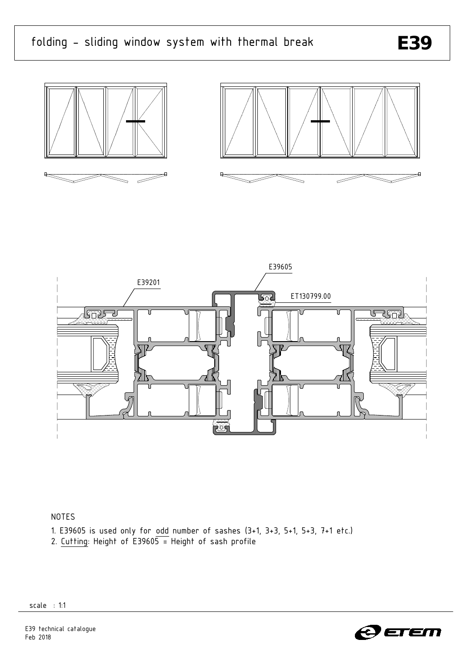





### NOTES

- 1. E39605 is used only for odd number of sashes (3+1, 3+3, 5+1, 5+3, 7+1 etc.)
- 2. Cutting: Height of  $E39605 =$  Height of sash profile

scale : 1:1